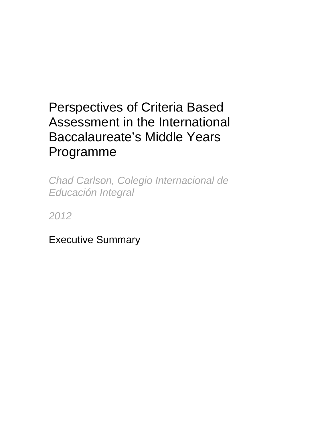# Perspectives of Criteria Based Assessment in the International Baccalaureate's Middle Years Programme

*Chad Carlson, Colegio Internacional de Educación Integral* 

*2012* 

Executive Summary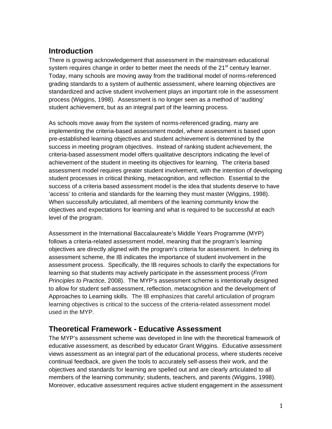# **Introduction**

There is growing acknowledgement that assessment in the mainstream educational system requires change in order to better meet the needs of the  $21<sup>st</sup>$  century learner. Today, many schools are moving away from the traditional model of norms-referenced grading standards to a system of authentic assessment, where learning objectives are standardized and active student involvement plays an important role in the assessment process (Wiggins, 1998). Assessment is no longer seen as a method of 'auditing' student achievement, but as an integral part of the learning process.

As schools move away from the system of norms-referenced grading, many are implementing the criteria-based assessment model, where assessment is based upon pre-established learning objectives and student achievement is determined by the success in meeting program objectives. Instead of ranking student achievement, the criteria-based assessment model offers qualitative descriptors indicating the level of achievement of the student in meeting its objectives for learning. The criteria based assessment model requires greater student involvement, with the intention of developing student processes in critical thinking, metacognition, and reflection. Essential to the success of a criteria based assessment model is the idea that students deserve to have 'access' to criteria and standards for the learning they must master (Wiggins, 1998). When successfully articulated, all members of the learning community know the objectives and expectations for learning and what is required to be successful at each level of the program.

Assessment in the International Baccalaureate's Middle Years Programme (MYP) follows a criteria-related assessment model, meaning that the program's learning objectives are directly aligned with the program's criteria for assessment. In defining its assessment scheme, the IB indicates the importance of student involvement in the assessment process. Specifically, the IB requires schools to clarify the expectations for learning so that students may actively participate in the assessment process (*From Principles to Practice,* 2008). The MYP's assessment scheme is intentionally designed to allow for student self-assessment, reflection, metacognition and the development of Approaches to Learning skills. The IB emphasizes that careful articulation of program learning objectives is critical to the success of the criteria-related assessment model used in the MYP.

# **Theoretical Framework - Educative Assessment**

The MYP's assessment scheme was developed in line with the theoretical framework of educative assessment, as described by educator Grant Wiggins. Educative assessment views assessment as an integral part of the educational process, where students receive continual feedback, are given the tools to accurately self-assess their work, and the objectives and standards for learning are spelled out and are clearly articulated to all members of the learning community; students, teachers, and parents (Wiggins, 1998). Moreover, educative assessment requires active student engagement in the assessment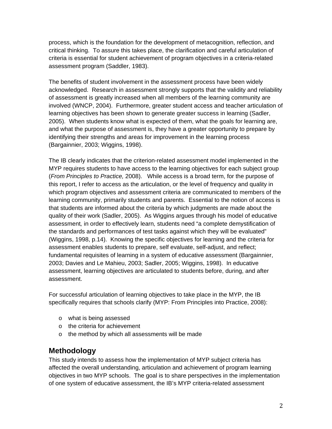process, which is the foundation for the development of metacognition, reflection, and critical thinking. To assure this takes place, the clarification and careful articulation of criteria is essential for student achievement of program objectives in a criteria-related assessment program (Saddler, 1983).

The benefits of student involvement in the assessment process have been widely acknowledged. Research in assessment strongly supports that the validity and reliability of assessment is greatly increased when all members of the learning community are involved (WNCP, 2004). Furthermore, greater student access and teacher articulation of learning objectives has been shown to generate greater success in learning (Sadler, 2005). When students know what is expected of them, what the goals for learning are, and what the purpose of assessment is, they have a greater opportunity to prepare by identifying their strengths and areas for improvement in the learning process (Bargainnier, 2003; Wiggins, 1998).

The IB clearly indicates that the criterion-related assessment model implemented in the MYP requires students to have access to the learning objectives for each subject group (*From Principles to Practice,* 2008). While access is a broad term, for the purpose of this report, I refer to access as the articulation, or the level of frequency and quality in which program objectives and assessment criteria are communicated to members of the learning community, primarily students and parents. Essential to the notion of access is that students are informed about the criteria by which judgments are made about the quality of their work (Sadler, 2005). As Wiggins argues through his model of educative assessment*,* in order to effectively learn*,* students need "a complete demystification of the standards and performances of test tasks against which they will be evaluated" (Wiggins, 1998, p.14). Knowing the specific objectives for learning and the criteria for assessment enables students to prepare, self evaluate, self-adjust, and reflect; fundamental requisites of learning in a system of educative assessment (Bargainnier, 2003; Davies and Le Mahieu, 2003; Sadler, 2005; Wiggins, 1998). In educative assessment, learning objectives are articulated to students before, during, and after assessment.

For successful articulation of learning objectives to take place in the MYP, the IB specifically requires that schools clarify (MYP: From Principles into Practice, 2008):

- o what is being assessed
- o the criteria for achievement
- o the method by which all assessments will be made

# **Methodology**

This study intends to assess how the implementation of MYP subject criteria has affected the overall understanding, articulation and achievement of program learning objectives in two MYP schools. The goal is to share perspectives in the implementation of one system of educative assessment, the IB's MYP criteria-related assessment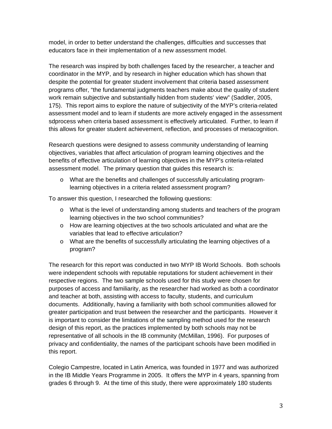model, in order to better understand the challenges, difficulties and successes that educators face in their implementation of a new assessment model.

The research was inspired by both challenges faced by the researcher, a teacher and coordinator in the MYP, and by research in higher education which has shown that despite the potential for greater student involvement that criteria based assessment programs offer, "the fundamental judgments teachers make about the quality of student work remain subjective and substantially hidden from students' view" (Saddler, 2005, 175). This report aims to explore the nature of subjectivity of the MYP's criteria-related assessment model and to learn if students are more actively engaged in the assessment sdprocess when criteria based assessment is effectively articulated. Further, to learn if this allows for greater student achievement, reflection, and processes of metacognition.

Research questions were designed to assess community understanding of learning objectives, variables that affect articulation of program learning objectives and the benefits of effective articulation of learning objectives in the MYP's criteria-related assessment model. The primary question that guides this research is:

o What are the benefits and challenges of successfully articulating programlearning objectives in a criteria related assessment program?

To answer this question, I researched the following questions:

- o What is the level of understanding among students and teachers of the program learning objectives in the two school communities?
- $\circ$  How are learning objectives at the two schools articulated and what are the variables that lead to effective articulation?
- o What are the benefits of successfully articulating the learning objectives of a program?

The research for this report was conducted in two MYP IB World Schools. Both schools were independent schools with reputable reputations for student achievement in their respective regions. The two sample schools used for this study were chosen for purposes of access and familiarity, as the researcher had worked as both a coordinator and teacher at both, assisting with access to faculty, students, and curriculum documents. Additionally, having a familiarity with both school communities allowed for greater participation and trust between the researcher and the participants. However it is important to consider the limitations of the sampling method used for the research design of this report, as the practices implemented by both schools may not be representative of all schools in the IB community (McMillan, 1996). For purposes of privacy and confidentiality, the names of the participant schools have been modified in this report.

Colegio Campestre, located in Latin America, was founded in 1977 and was authorized in the IB Middle Years Programme in 2005. It offers the MYP in 4 years, spanning from grades 6 through 9. At the time of this study, there were approximately 180 students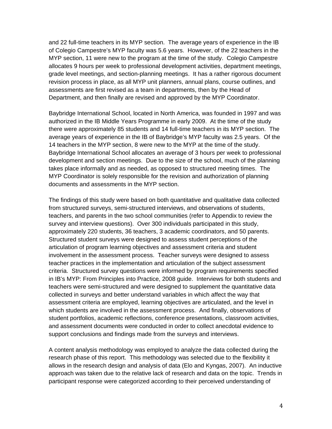and 22 full-time teachers in its MYP section. The average years of experience in the IB of Colegio Campestre's MYP faculty was 5.6 years. However, of the 22 teachers in the MYP section, 11 were new to the program at the time of the study. Colegio Campestre allocates 9 hours per week to professional development activities, department meetings, grade level meetings, and section-planning meetings. It has a rather rigorous document revision process in place, as all MYP unit planners, annual plans, course outlines, and assessments are first revised as a team in departments, then by the Head of Department, and then finally are revised and approved by the MYP Coordinator.

Baybridge International School, located in North America, was founded in 1997 and was authorized in the IB Middle Years Programme in early 2009. At the time of the study there were approximately 85 students and 14 full-time teachers in its MYP section. The average years of experience in the IB of Baybridge's MYP faculty was 2.5 years. Of the 14 teachers in the MYP section, 8 were new to the MYP at the time of the study. Baybridge International School allocates an average of 3 hours per week to professional development and section meetings. Due to the size of the school, much of the planning takes place informally and as needed, as opposed to structured meeting times. The MYP Coordinator is solely responsible for the revision and authorization of planning documents and assessments in the MYP section.

The findings of this study were based on both quantitative and qualitative data collected from structured surveys, semi-structured interviews, and observations of students, teachers, and parents in the two school communities (refer to Appendix to review the survey and interview questions). Over 300 individuals participated in this study, approximately 220 students, 36 teachers, 3 academic coordinators, and 50 parents. Structured student surveys were designed to assess student perceptions of the articulation of program learning objectives and assessment criteria and student involvement in the assessment process. Teacher surveys were designed to assess teacher practices in the implementation and articulation of the subject assessment criteria. Structured survey questions were informed by program requirements specified in IB's MYP: From Principles into Practice, 2008 guide. Interviews for both students and teachers were semi-structured and were designed to supplement the quantitative data collected in surveys and better understand variables in which affect the way that assessment criteria are employed, learning objectives are articulated, and the level in which students are involved in the assessment process. And finally, observations of student portfolios, academic reflections, conference presentations, classroom activities, and assessment documents were conducted in order to collect anecdotal evidence to support conclusions and findings made from the surveys and interviews.

A content analysis methodology was employed to analyze the data collected during the research phase of this report. This methodology was selected due to the flexibility it allows in the research design and analysis of data (Elo and Kyngas, 2007). An inductive approach was taken due to the relative lack of research and data on the topic. Trends in participant response were categorized according to their perceived understanding of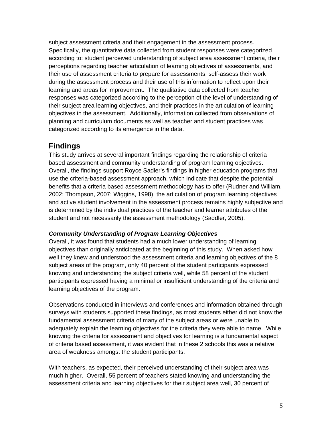subject assessment criteria and their engagement in the assessment process. Specifically, the quantitative data collected from student responses were categorized according to: student perceived understanding of subject area assessment criteria, their perceptions regarding teacher articulation of learning objectives of assessments, and their use of assessment criteria to prepare for assessments, self-assess their work during the assessment process and their use of this information to reflect upon their learning and areas for improvement. The qualitative data collected from teacher responses was categorized according to the perception of the level of understanding of their subject area learning objectives, and their practices in the articulation of learning objectives in the assessment. Additionally, information collected from observations of planning and curriculum documents as well as teacher and student practices was categorized according to its emergence in the data.

## **Findings**

This study arrives at several important findings regarding the relationship of criteria based assessment and community understanding of program learning objectives. Overall, the findings support Royce Sadler's findings in higher education programs that use the criteria-based assessment approach, which indicate that despite the potential benefits that a criteria based assessment methodology has to offer (Rudner and William, 2002; Thompson, 2007; Wiggins, 1998), the articulation of program learning objectives and active student involvement in the assessment process remains highly subjective and is determined by the individual practices of the teacher and learner attributes of the student and not necessarily the assessment methodology (Saddler, 2005).

## *Community Understanding of Program Learning Objectives*

Overall, it was found that students had a much lower understanding of learning objectives than originally anticipated at the beginning of this study. When asked how well they knew and understood the assessment criteria and learning objectives of the 8 subject areas of the program, only 40 percent of the student participants expressed knowing and understanding the subject criteria well, while 58 percent of the student participants expressed having a minimal or insufficient understanding of the criteria and learning objectives of the program.

Observations conducted in interviews and conferences and information obtained through surveys with students supported these findings, as most students either did not know the fundamental assessment criteria of many of the subject areas or were unable to adequately explain the learning objectives for the criteria they were able to name. While knowing the criteria for assessment and objectives for learning is a fundamental aspect of criteria based assessment, it was evident that in these 2 schools this was a relative area of weakness amongst the student participants.

With teachers, as expected, their perceived understanding of their subject area was much higher. Overall, 55 percent of teachers stated knowing and understanding the assessment criteria and learning objectives for their subject area well, 30 percent of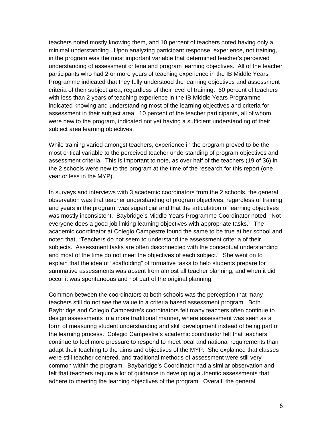teachers noted mostly knowing them, and 10 percent of teachers noted having only a minimal understanding. Upon analyzing participant response, experience, not training, in the program was the most important variable that determined teacher's perceived understanding of assessment criteria and program learning objectives. All of the teacher participants who had 2 or more years of teaching experience in the IB Middle Years Programme indicated that they fully understood the learning objectives and assessment criteria of their subject area, regardless of their level of training. 60 percent of teachers with less than 2 years of teaching experience in the IB Middle Years Programme indicated knowing and understanding most of the learning objectives and criteria for assessment in their subject area. 10 percent of the teacher participants, all of whom were new to the program, indicated not yet having a sufficient understanding of their subject area learning objectives.

While training varied amongst teachers, experience in the program proved to be the most critical variable to the perceived teacher understanding of program objectives and assessment criteria. This is important to note, as over half of the teachers (19 of 36) in the 2 schools were new to the program at the time of the research for this report (one year or less in the MYP).

In surveys and interviews with 3 academic coordinators from the 2 schools, the general observation was that teacher understanding of program objectives, regardless of training and years in the program, was superficial and that the articulation of learning objectives was mostly inconsistent. Baybridge's Middle Years Programme Coordinator noted, "Not everyone does a good job linking learning objectives with appropriate tasks." The academic coordinator at Colegio Campestre found the same to be true at her school and noted that, "Teachers do not seem to understand the assessment criteria of their subjects. Assessment tasks are often disconnected with the conceptual understanding and most of the time do not meet the objectives of each subject." She went on to explain that the idea of "scaffolding" of formative tasks to help students prepare for summative assessments was absent from almost all teacher planning, and when it did occur it was spontaneous and not part of the original planning.

Common between the coordinators at both schools was the perception that many teachers still do not see the value in a criteria based assessment program. Both Baybridge and Colegio Campestre's coordinators felt many teachers often continue to design assessments in a more traditional manner, where assessment was seen as a form of measuring student understanding and skill development instead of being part of the learning process. Colegio Campestre's academic coordinator felt that teachers continue to feel more pressure to respond to meet local and national requirements than adapt their teaching to the aims and objectives of the MYP. She explained that classes were still teacher centered, and traditional methods of assessment were still very common within the program. Baybaridge's Coordinator had a similar observation and felt that teachers require a lot of guidance in developing authentic assessments that adhere to meeting the learning objectives of the program. Overall, the general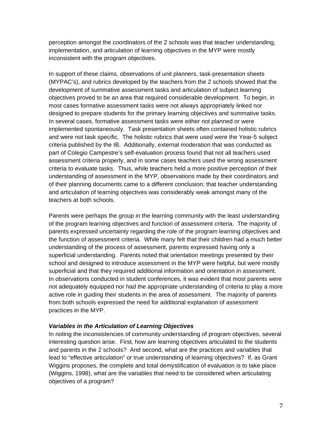perception amongst the coordinators of the 2 schools was that teacher understanding, implementation, and articulation of learning objectives in the MYP were mostly inconsistent with the program objectives.

In support of these claims, observations of unit planners, task-presentation sheets (MYPAC's), and rubrics developed by the teachers from the 2 schools showed that the development of summative assessment tasks and articulation of subject learning objectives proved to be an area that required considerable development. To begin, in most cases formative assessment tasks were not always appropriately linked nor designed to prepare students for the primary learning objectives and summative tasks. In several cases, formative assessment tasks were either not planned or were implemented spontaneously. Task presentation sheets often contained holistic rubrics and were not task specific. The holistic rubrics that were used were the Year-5 subject criteria published by the IB. Additionally, external moderation that was conducted as part of Colegio Campestre's self-evaluation process found that not all teachers used assessment criteria properly, and in some cases teachers used the wrong assessment criteria to evaluate tasks. Thus, while teachers held a more positive perception of their understanding of assessment in the MYP, observations made by their coordinators and of their planning documents came to a different conclusion; that teacher understanding and articulation of learning objectives was considerably weak amongst many of the teachers at both schools.

Parents were perhaps the group in the learning community with the least understanding of the program learning objectives and function of assessment criteria. The majority of parents expressed uncertainty regarding the role of the program learning objectives and the function of assessment criteria. While many felt that their children had a much better understanding of the process of assessment, parents expressed having only a superficial understanding. Parents noted that orientation meetings presented by their school and designed to introduce assessment in the MYP were helpful, but were mostly superficial and that they required additional information and orientation in assessment. In observations conducted in student conferences, it was evident that most parents were not adequately equipped nor had the appropriate understanding of criteria to play a more active role in guiding their students in the area of assessment. The majority of parents from both schools expressed the need for additional explanation of assessment practices in the MYP.

#### *Variables in the Articulation of Learning Objectives*

In noting the inconsistencies of community understanding of program objectives, several interesting question arise. First, how are learning objectives articulated to the students and parents in the 2 schools? And second, what are the practices and variables that lead to "effective articulation" or true understanding of learning objectives? If, as Grant Wiggins proposes, the complete and total demystification of evaluation is to take place (Wiggins, 1998), what are the variables that need to be considered when articulating objectives of a program?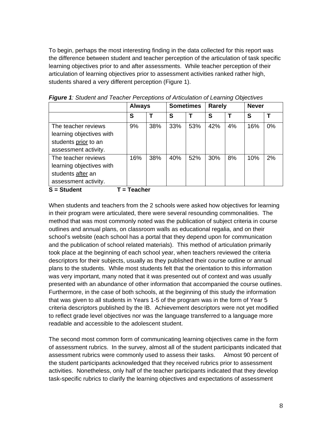To begin, perhaps the most interesting finding in the data collected for this report was the difference between student and teacher perception of the articulation of task specific learning objectives prior to and after assessments. While teacher perception of their articulation of learning objectives prior to assessment activities ranked rather high, students shared a very different perception (Figure 1).

|                          |     | <b>Always</b> |     | <b>Sometimes</b> |     | <b>Rarely</b> |     | <b>Never</b> |  |
|--------------------------|-----|---------------|-----|------------------|-----|---------------|-----|--------------|--|
|                          | S   |               | S   |                  | S   |               | S   |              |  |
| The teacher reviews      | 9%  | 38%           | 33% | 53%              | 42% | 4%            | 16% | 0%           |  |
| learning objectives with |     |               |     |                  |     |               |     |              |  |
| students prior to an     |     |               |     |                  |     |               |     |              |  |
| assessment activity.     |     |               |     |                  |     |               |     |              |  |
| The teacher reviews      | 16% | 38%           | 40% | 52%              | 30% | 8%            | 10% | 2%           |  |
| learning objectives with |     |               |     |                  |     |               |     |              |  |
| students after an        |     |               |     |                  |     |               |     |              |  |
| assessment activity.     |     |               |     |                  |     |               |     |              |  |
| .                        |     |               |     |                  |     |               |     |              |  |

*Figure 1: Student and Teacher Perceptions of Articulation of Learning Objectives* 

S = Student T = Teacher

When students and teachers from the 2 schools were asked how objectives for learning in their program were articulated, there were several resounding commonalities. The method that was most commonly noted was the publication of subject criteria in course outlines and annual plans, on classroom walls as educational regalia, and on their school's website (each school has a portal that they depend upon for communication and the publication of school related materials). This method of articulation primarily took place at the beginning of each school year, when teachers reviewed the criteria descriptors for their subjects, usually as they published their course outline or annual plans to the students. While most students felt that the orientation to this information was very important, many noted that it was presented out of context and was usually presented with an abundance of other information that accompanied the course outlines. Furthermore, in the case of both schools, at the beginning of this study the information that was given to all students in Years 1-5 of the program was in the form of Year 5 criteria descriptors published by the IB. Achievement descriptors were not yet modified to reflect grade level objectives nor was the language transferred to a language more readable and accessible to the adolescent student.

The second most common form of communicating learning objectives came in the form of assessment rubrics. In the survey, almost all of the student participants indicated that assessment rubrics were commonly used to assess their tasks. Almost 90 percent of the student participants acknowledged that they received rubrics prior to assessment activities. Nonetheless, only half of the teacher participants indicated that they develop task-specific rubrics to clarify the learning objectives and expectations of assessment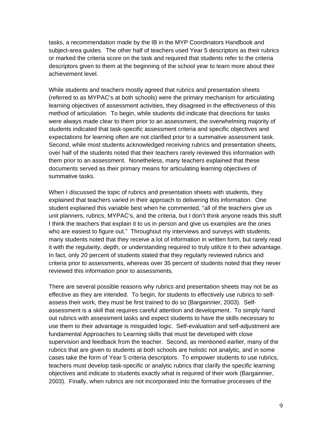tasks, a recommendation made by the IB in the MYP Coordinators Handbook and subject-area guides. The other half of teachers used Year 5 descriptors as their rubrics or marked the criteria score on the task and required that students refer to the criteria descriptors given to them at the beginning of the school year to learn more about their achievement level.

While students and teachers mostly agreed that rubrics and presentation sheets (referred to as MYPAC's at both schools) were the primary mechanism for articulating learning objectives of assessment activities, they disagreed in the effectiveness of this method of articulation. To begin, while students did indicate that directions for tasks were always made clear to them prior to an assessment, the overwhelming majority of students indicated that task-specific assessment criteria and specific objectives and expectations for learning often are not clarified prior to a summative assessment task. Second, while most students acknowledged receiving rubrics and presentation sheets, over half of the students noted that their teachers rarely reviewed this information with them prior to an assessment. Nonetheless, many teachers explained that these documents served as their primary means for articulating learning objectives of summative tasks.

When I discussed the topic of rubrics and presentation sheets with students, they explained that teachers varied in their approach to delivering this information. One student explained this variable best when he commented, "all of the teachers give us unit planners, rubrics, MYPAC's, and the criteria, but I don't think anyone reads this stuff. I think the teachers that explain it to us in person and give us examples are the ones who are easiest to figure out." Throughout my interviews and surveys with students, many students noted that they receive a lot of information in written form, but rarely read it with the regularity, depth, or understanding required to truly utilize it to their advantage. In fact, only 20 percent of students stated that they regularly reviewed rubrics and criteria prior to assessments, whereas over 35 percent of students noted that they never reviewed this information prior to assessments.

There are several possible reasons why rubrics and presentation sheets may not be as effective as they are intended. To begin, for students to effectively use rubrics to selfassess their work, they must be first trained to do so (Bargainnier, 2003). Selfassessment is a skill that requires careful attention and development. To simply hand out rubrics with assessment tasks and expect students to have the skills necessary to use them to their advantage is misguided logic. Self-evaluation and self-adjustment are fundamental Approaches to Learning skills that must be developed with close supervision and feedback from the teacher. Second, as mentioned earlier, many of the rubrics that are given to students at both schools are holistic not analytic, and in some cases take the form of Year 5 criteria descriptors. To empower students to use rubrics, teachers must develop task-specific or analytic rubrics that clarify the specific learning objectives and indicate to students exactly what is required of their work (Bargainnier, 2003). Finally, when rubrics are not incorporated into the formative processes of the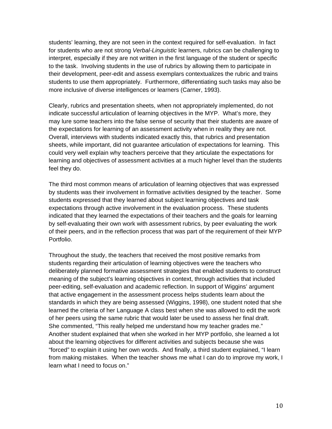students' learning, they are not seen in the context required for self-evaluation. In fact for students who are not strong *Verbal-Linguistic* learners, rubrics can be challenging to interpret, especially if they are not written in the first language of the student or specific to the task. Involving students in the use of rubrics by allowing them to participate in their development, peer-edit and assess exemplars contextualizes the rubric and trains students to use them appropriately. Furthermore, differentiating such tasks may also be more inclusive of diverse intelligences or learners (Carner, 1993).

Clearly, rubrics and presentation sheets, when not appropriately implemented, do not indicate successful articulation of learning objectives in the MYP. What's more, they may lure some teachers into the false sense of security that their students are aware of the expectations for learning of an assessment activity when in reality they are not. Overall, interviews with students indicated exactly this, that rubrics and presentation sheets, while important, did not guarantee articulation of expectations for learning. This could very well explain why teachers perceive that they articulate the expectations for learning and objectives of assessment activities at a much higher level than the students feel they do.

The third most common means of articulation of learning objectives that was expressed by students was their involvement in formative activities designed by the teacher. Some students expressed that they learned about subject learning objectives and task expectations through active involvement in the evaluation process. These students indicated that they learned the expectations of their teachers and the goals for learning by self-evaluating their own work with assessment rubrics, by peer evaluating the work of their peers, and in the reflection process that was part of the requirement of their MYP Portfolio.

Throughout the study, the teachers that received the most positive remarks from students regarding their articulation of learning objectives were the teachers who deliberately planned formative assessment strategies that enabled students to construct meaning of the subject's learning objectives in context, through activities that included peer-editing, self-evaluation and academic reflection. In support of Wiggins' argument that active engagement in the assessment process helps students learn about the standards in which they are being assessed (Wiggins, 1998), one student noted that she learned the criteria of her Language A class best when she was allowed to edit the work of her peers using the same rubric that would later be used to assess her final draft. She commented, "This really helped me understand how my teacher grades me." Another student explained that when she worked in her MYP portfolio, she learned a lot about the learning objectives for different activities and subjects because she was "forced" to explain it using her own words. And finally, a third student explained, "I learn from making mistakes. When the teacher shows me what I can do to improve my work, I learn what I need to focus on."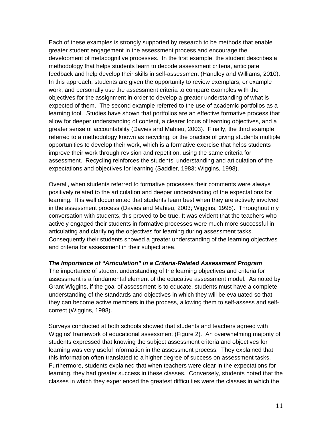Each of these examples is strongly supported by research to be methods that enable greater student engagement in the assessment process and encourage the development of metacognitive processes. In the first example, the student describes a methodology that helps students learn to decode assessment criteria, anticipate feedback and help develop their skills in self-assessment (Handley and Williams, 2010). In this approach, students are given the opportunity to review exemplars, or example work, and personally use the assessment criteria to compare examples with the objectives for the assignment in order to develop a greater understanding of what is expected of them. The second example referred to the use of academic portfolios as a learning tool. Studies have shown that portfolios are an effective formative process that allow for deeper understanding of content, a clearer focus of learning objectives, and a greater sense of accountability (Davies and Mahieu, 2003). Finally, the third example referred to a methodology known as recycling, or the practice of giving students multiple opportunities to develop their work, which is a formative exercise that helps students improve their work through revision and repetition, using the same criteria for assessment. Recycling reinforces the students' understanding and articulation of the expectations and objectives for learning (Saddler, 1983; Wiggins, 1998).

Overall, when students referred to formative processes their comments were always positively related to the articulation and deeper understanding of the expectations for learning. It is well documented that students learn best when they are actively involved in the assessment process (Davies and Mahieu, 2003; Wiggins, 1998). Throughout my conversation with students, this proved to be true. It was evident that the teachers who actively engaged their students in formative processes were much more successful in articulating and clarifying the objectives for learning during assessment tasks. Consequently their students showed a greater understanding of the learning objectives and criteria for assessment in their subject area.

#### *The Importance of "Articulation" in a Criteria-Related Assessment Program*

The importance of student understanding of the learning objectives and criteria for assessment is a fundamental element of the educative assessment model. As noted by Grant Wiggins, if the goal of assessment is to educate, students must have a complete understanding of the standards and objectives in which they will be evaluated so that they can become active members in the process, allowing them to self-assess and selfcorrect (Wiggins, 1998).

Surveys conducted at both schools showed that students and teachers agreed with Wiggins' framework of educational assessment (Figure 2). An overwhelming majority of students expressed that knowing the subject assessment criteria and objectives for learning was very useful information in the assessment process. They explained that this information often translated to a higher degree of success on assessment tasks. Furthermore, students explained that when teachers were clear in the expectations for learning, they had greater success in these classes. Conversely, students noted that the classes in which they experienced the greatest difficulties were the classes in which the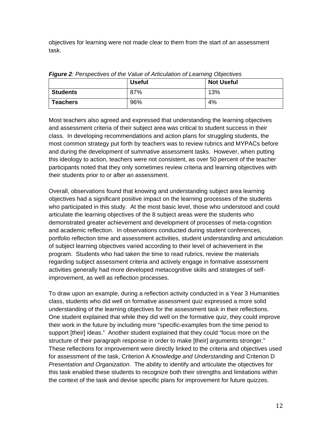objectives for learning were not made clear to them from the start of an assessment task.

|                 | <b>Useful</b> | <b>Not Useful</b> |
|-----------------|---------------|-------------------|
| <b>Students</b> | 87%           | 13%               |
| <b>Teachers</b> | 96%           | 4%                |

*Figure 2: Perspectives of the Value of Articulation of Learning Objectives* 

Most teachers also agreed and expressed that understanding the learning objectives and assessment criteria of their subject area was critical to student success in their class. In developing recommendations and action plans for struggling students, the most common strategy put forth by teachers was to review rubrics and MYPACs before and during the development of summative assessment tasks. However, when putting this ideology to action, teachers were not consistent, as over 50 percent of the teacher participants noted that they only sometimes review criteria and learning objectives with their students prior to or after an assessment.

Overall, observations found that knowing and understanding subject area learning objectives had a significant positive impact on the learning processes of the students who participated in this study. At the most basic level, those who understood and could articulate the learning objectives of the 8 subject areas were the students who demonstrated greater achievement and development of processes of meta-cognition and academic reflection. In observations conducted during student conferences, portfolio reflection time and assessment activities, student understanding and articulation of subject learning objectives varied according to their level of achievement in the program. Students who had taken the time to read rubrics, review the materials regarding subject assessment criteria and actively engage in formative assessment activities generally had more developed metacognitive skills and strategies of selfimprovement, as well as reflection processes.

To draw upon an example, during a reflection activity conducted in a Year 3 Humanities class, students who did well on formative assessment quiz expressed a more solid understanding of the learning objectives for the assessment task in their reflections. One student explained that while they did well on the formative quiz, they could improve their work in the future by including more "specific-examples from the time period to support [their] ideas." Another student explained that they could "focus more on the structure of their paragraph response in order to make [their] arguments stronger." These reflections for improvement were directly linked to the criteria and objectives used for assessment of the task, Criterion A *Knowledge and Understanding* and Criterion D *Presentation and Organization*. The ability to identify and articulate the objectives for this task enabled these students to recognize both their strengths and limitations within the context of the task and devise specific plans for improvement for future quizzes.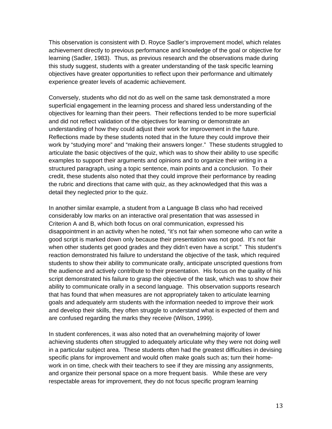This observation is consistent with D. Royce Sadler's improvement model, which relates achievement directly to previous performance and knowledge of the goal or objective for learning (Sadler, 1983). Thus, as previous research and the observations made during this study suggest, students with a greater understanding of the task specific learning objectives have greater opportunities to reflect upon their performance and ultimately experience greater levels of academic achievement.

Conversely, students who did not do as well on the same task demonstrated a more superficial engagement in the learning process and shared less understanding of the objectives for learning than their peers. Their reflections tended to be more superficial and did not reflect validation of the objectives for learning or demonstrate an understanding of how they could adjust their work for improvement in the future. Reflections made by these students noted that in the future they could improve their work by "studying more" and "making their answers longer." These students struggled to articulate the basic objectives of the quiz, which was to show their ability to use specific examples to support their arguments and opinions and to organize their writing in a structured paragraph, using a topic sentence, main points and a conclusion. To their credit, these students also noted that they could improve their performance by reading the rubric and directions that came with quiz, as they acknowledged that this was a detail they neglected prior to the quiz.

In another similar example, a student from a Language B class who had received considerably low marks on an interactive oral presentation that was assessed in Criterion A and B, which both focus on oral communication, expressed his disappointment in an activity when he noted, "it's not fair when someone who can write a good script is marked down only because their presentation was not good. It's not fair when other students get good grades and they didn't even have a script." This student's reaction demonstrated his failure to understand the objective of the task, which required students to show their ability to communicate orally, anticipate unscripted questions from the audience and actively contribute to their presentation. His focus on the quality of his script demonstrated his failure to grasp the objective of the task, which was to show their ability to communicate orally in a second language. This observation supports research that has found that when measures are not appropriately taken to articulate learning goals and adequately arm students with the information needed to improve their work and develop their skills, they often struggle to understand what is expected of them and are confused regarding the marks they receive (Wilson, 1999).

In student conferences, it was also noted that an overwhelming majority of lower achieving students often struggled to adequately articulate why they were not doing well in a particular subject area. These students often had the greatest difficulties in devising specific plans for improvement and would often make goals such as; turn their homework in on time, check with their teachers to see if they are missing any assignments, and organize their personal space on a more frequent basis. While these are very respectable areas for improvement, they do not focus specific program learning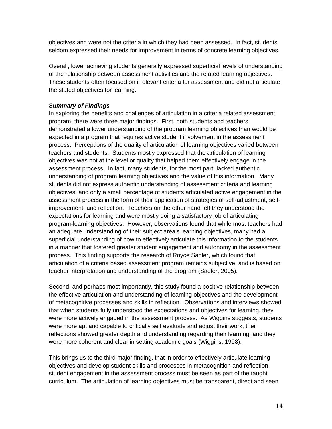objectives and were not the criteria in which they had been assessed. In fact, students seldom expressed their needs for improvement in terms of concrete learning objectives.

Overall, lower achieving students generally expressed superficial levels of understanding of the relationship between assessment activities and the related learning objectives. These students often focused on irrelevant criteria for assessment and did not articulate the stated objectives for learning.

## *Summary of Findings*

In exploring the benefits and challenges of articulation in a criteria related assessment program, there were three major findings. First, both students and teachers demonstrated a lower understanding of the program learning objectives than would be expected in a program that requires active student involvement in the assessment process. Perceptions of the quality of articulation of learning objectives varied between teachers and students. Students mostly expressed that the articulation of learning objectives was not at the level or quality that helped them effectively engage in the assessment process. In fact, many students, for the most part, lacked authentic understanding of program learning objectives and the value of this information. Many students did not express authentic understanding of assessment criteria and learning objectives, and only a small percentage of students articulated active engagement in the assessment process in the form of their application of strategies of self-adjustment, selfimprovement, and reflection. Teachers on the other hand felt they understood the expectations for learning and were mostly doing a satisfactory job of articulating program-learning objectives. However, observations found that while most teachers had an adequate understanding of their subject area's learning objectives, many had a superficial understanding of how to effectively articulate this information to the students in a manner that fostered greater student engagement and autonomy in the assessment process. This finding supports the research of Royce Sadler, which found that articulation of a criteria based assessment program remains subjective, and is based on teacher interpretation and understanding of the program (Sadler, 2005).

Second, and perhaps most importantly, this study found a positive relationship between the effective articulation and understanding of learning objectives and the development of metacognitive processes and skills in reflection. Observations and interviews showed that when students fully understood the expectations and objectives for learning, they were more actively engaged in the assessment process. As Wiggins suggests, students were more apt and capable to critically self evaluate and adjust their work, their reflections showed greater depth and understanding regarding their learning, and they were more coherent and clear in setting academic goals (Wiggins, 1998).

This brings us to the third major finding, that in order to effectively articulate learning objectives and develop student skills and processes in metacognition and reflection, student engagement in the assessment process must be seen as part of the taught curriculum. The articulation of learning objectives must be transparent, direct and seen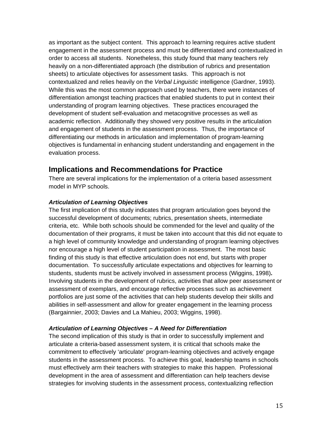as important as the subject content. This approach to learning requires active student engagement in the assessment process and must be differentiated and contextualized in order to access all students. Nonetheless, this study found that many teachers rely heavily on a non-differentiated approach (the distribution of rubrics and presentation sheets) to articulate objectives for assessment tasks. This approach is not contextualized and relies heavily on the *Verbal Linguistic* intelligence (Gardner, 1993). While this was the most common approach used by teachers, there were instances of differentiation amongst teaching practices that enabled students to put in context their understanding of program learning objectives. These practices encouraged the development of student self-evaluation and metacognitive processes as well as academic reflection. Additionally they showed very positive results in the articulation and engagement of students in the assessment process. Thus, the importance of differentiating our methods in articulation and implementation of program-learning objectives is fundamental in enhancing student understanding and engagement in the evaluation process.

## **Implications and Recommendations for Practice**

There are several implications for the implementation of a criteria based assessment model in MYP schools.

## *Articulation of Learning Objectives*

The first implication of this study indicates that program articulation goes beyond the successful development of documents; rubrics, presentation sheets, intermediate criteria, etc. While both schools should be commended for the level and quality of the documentation of their programs, it must be taken into account that this did not equate to a high level of community knowledge and understanding of program learning objectives nor encourage a high level of student participation in assessment. The most basic finding of this study is that effective articulation does not end, but starts with proper documentation. To successfully articulate expectations and objectives for learning to students, students must be actively involved in assessment process (Wiggins, 1998)**.** Involving students in the development of rubrics, activities that allow peer assessment or assessment of exemplars, and encourage reflective processes such as achievement portfolios are just some of the activities that can help students develop their skills and abilities in self-assessment and allow for greater engagement in the learning process (Bargainnier, 2003; Davies and La Mahieu, 2003; Wiggins, 1998).

## *Articulation of Learning Objectives – A Need for Differentiation*

The second implication of this study is that in order to successfully implement and articulate a criteria-based assessment system, it is critical that schools make the commitment to effectively 'articulate' program-learning objectives and actively engage students in the assessment process. To achieve this goal, leadership teams in schools must effectively arm their teachers with strategies to make this happen. Professional development in the area of assessment and differentiation can help teachers devise strategies for involving students in the assessment process, contextualizing reflection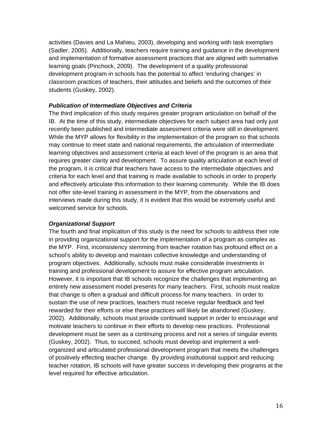activities (Davies and La Mahieu, 2003), developing and working with task exemplars (Sadler, 2005). Additionally, teachers require training and guidance in the development and implementation of formative assessment practices that are aligned with summative learning goals (Pinchock, 2009). The development of a quality professional development program in schools has the potential to affect 'enduring changes' in classroom practices of teachers, their attitudes and beliefs and the outcomes of their students (Guskey, 2002).

#### *Publication of Intermediate Objectives and Criteria*

The third implication of this study requires greater program articulation on behalf of the IB. At the time of this study, intermediate objectives for each subject area had only just recently been published and intermediate assessment criteria were still in development. While the MYP allows for flexibility in the implementation of the program so that schools may continue to meet state and national requirements, the articulation of intermediate learning objectives and assessment criteria at each level of the program is an area that requires greater clarity and development. To assure quality articulation at each level of the program, it is critical that teachers have access to the intermediate objectives and criteria for each level and that training is made available to schools in order to properly and effectively articulate this information to their learning community. While the IB does not offer site-level training in assessment in the MYP, from the observations and interviews made during this study, it is evident that this would be extremely useful and welcomed service for schools.

#### *Organizational Support*

The fourth and final implication of this study is the need for schools to address their role in providing organizational support for the implementation of a program as complex as the MYP. First, inconsistency stemming from teacher rotation has profound effect on a school's ability to develop and maintain collective knowledge and understanding of program objectives. Additionally, schools must make considerable investments in training and professional development to assure for effective program articulation. However, it is important that IB schools recognize the challenges that implementing an entirely new assessment model presents for many teachers. First, schools must realize that change is often a gradual and difficult process for many teachers. In order to sustain the use of new practices, teachers must receive regular feedback and feel rewarded for their efforts or else these practices will likely be abandoned (Guskey, 2002). Additionally, schools must provide continued support in order to encourage and motivate teachers to continue in their efforts to develop new practices. Professional development must be seen as a continuing process and not a series of singular events (Guskey, 2002). Thus, to succeed, schools must develop and implement a wellorganized and articulated professional development program that meets the challenges of positively effecting teacher change. By providing institutional support and reducing teacher rotation, IB schools will have greater success in developing their programs at the level required for effective articulation.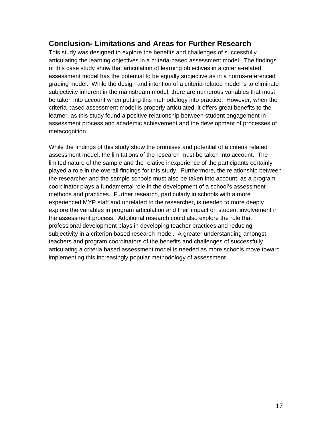# **Conclusion- Limitations and Areas for Further Research**

This study was designed to explore the benefits and challenges of successfully articulating the learning objectives in a criteria-based assessment model. The findings of this case study show that articulation of learning objectives in a criteria-related assessment model has the potential to be equally subjective as in a norms-referenced grading model. While the design and intention of a criteria-related model is to eliminate subjectivity inherent in the mainstream model, there are numerous variables that must be taken into account when putting this methodology into practice. However, when the criteria based assessment model is properly articulated, it offers great benefits to the learner, as this study found a positive relationship between student engagement in assessment process and academic achievement and the development of processes of metacognition.

While the findings of this study show the promises and potential of a criteria related assessment model, the limitations of the research must be taken into account. The limited nature of the sample and the relative inexperience of the participants certainly played a role in the overall findings for this study. Furthermore, the relationship between the researcher and the sample schools must also be taken into account, as a program coordinator plays a fundamental role in the development of a school's assessment methods and practices. Further research, particularly in schools with a more experienced MYP staff and unrelated to the researcher, is needed to more deeply explore the variables in program articulation and their impact on student involvement in the assessment process. Additional research could also explore the role that professional development plays in developing teacher practices and reducing subjectivity in a criterion based research model. A greater understanding amongst teachers and program coordinators of the benefits and challenges of successfully articulating a criteria based assessment model is needed as more schools move toward implementing this increasingly popular methodology of assessment.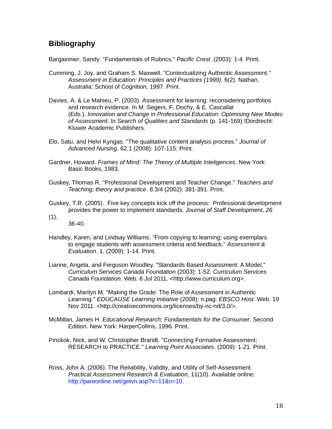# **Bibliography**

Bargainnier, Sandy. "Fundamentals of Rubrics." *Pacific Crest*. (2003): 1-4. Print.

- Cumming, J. Joy, and Graham S. Maxwell. "Contextualizing Authentic Assessment." *Assessment in Education: Principles and Practices (1999)*. 6(2). Nathan, Australia: School of Cognition, 1997. Print.
- Davies, A, & Le Mahieu, P. (2003). Assessment for learning: reconsidering portfolios and research evidence. In M. Segers, F. Dochy, & E. Cascallar (Eds.), *Innovation and Change in Professional Education: Optimising New Modes of Assessment: In Search of Qualities and Standards* (p. 141-169).!Dordrecht: Kluwer Academic Publishers*.*
- Elo, Satu, and Helvi Kyngas. "The qualitative content analysis process." *Journal of Advanced Nursing*. 62.1 (2008): 107-115. Print.
- Gardner, Howard. *Frames of Mind: The Theory of Multiple Inteligences*. New York: Basic Books, 1983.
- Guskey, Thomas R. "Professional Development and Teacher Change." *Teachers and Teaching; theory and practice*. 8.3/4 (2002): 381-391. Print.
- Guskey, T.R. (2005). Five key concepts kick off the process: Professional development provides the power to implement standards. *Journal of Staff Development*, *26*  (1),

36-40.

- Handley, Karen, and Lindsay Williams. "From copying to learning; using exemplars to engage students with assessment criteria and feedback." *Assessment & Evaluation*. 1. (2009): 1-14. Print.
- Lianne, Angela, and Ferguson Woodley. "Standards Based Assessment: A Model." *Curriculum Services Canada Foundation* (2003): 1-52. *Curriculum Services Canada Foundation*. Web. 6 Jul 2011. <http://www.curriculum.org>.
- Lombardi, Marilyn M. "Making the Grade: The Role of Assessment in Authentic Learning." *EDUCAUSE Learning Initiative* (2008): n.pag. *EBSCO Host*. Web. 19 Nov 2011. <http://creativecommons.org/licenses/by-nc-nd/3.0/>.
- McMillan, James H. *Educational Research; Fundamentals for the Consumer*. Second Edition. New York: HarperCollins, 1996. Print.
- Pinckok, Nick, and W. Christopher Brandt. "Connecting Formative Assessment; RESEARCH to PRACTICE." *Learning Point Associates*. (2009): 1-21. Print.
- Ross, John A. (2006). The Reliability, Validity, and Utility of Self-Assessment. *Practical Assessment Research & Evaluation*, 11(10). Available online: http://pareonline.net/getvn.asp?v=11&n=10.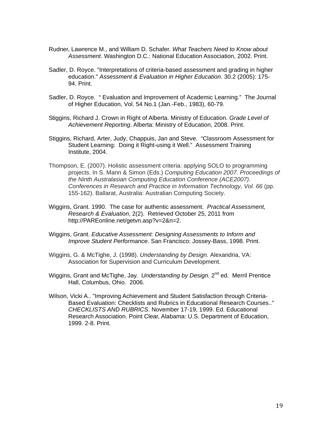- Rudner, Lawrence M., and William D. Schafer. *What Teachers Need to Know about Assessment*. Washington D.C.: National Education Association, 2002. Print.
- Sadler, D. Royce. "Interpretations of criteria-based assessment and grading in higher education." *Assessment & Evaluation in Higher Education*. 30.2 (2005): 175- 94. Print.
- Sadler, D. Royce. " Evaluation and Improvement of Academic Learning." The Journal of Higher Education, Vol. 54 No.1 (Jan.-Feb., 1983), 60-79.
- Stiggins, Richard J. Crown in Right of Alberta. Ministry of Education. *Grade Level of Achievement Reporting*. Alberta: Ministry of Education, 2008. Print.
- Stiggins, Richard, Arter, Judy, Chappuis, Jan and Steve. "Classroom Assessment for Student Learning: Doing it Right-using it Well." Assessment Training Institute, 2004.
- Thompson, E. (2007). Holistic assessment criteria: applying SOLO to programming projects. In S. Mann & Simon (Eds.) *Computing Education 2007. Proceedings of the Ninth Australasian Computing Education Conference (ACE2007). Conferences in Research and Practice in Information Technology, Vol. 66* (pp. 155-162). Ballarat, Australia: Australian Computing Society.
- Wiggins, Grant. 1990. The case for authentic assessment. *Practical Assessment, Research & Evaluation*, 2(2). Retrieved October 25, 2011 from http://PAREonline.net/getvn.asp?v=2&n=2.
- Wiggins, Grant. *Educative Assessment: Designing Assessments to Inform and Improve Student Performance*. San Francisco: Jossey-Bass, 1998. Print.
- Wiggins, G. & McTighe, J. (1998). *Understanding by Design.* Alexandria, VA: Association for Supervision and Curriculum Development.
- Wiggins, Grant and McTighe, Jay. *Understanding by Design.* 2<sup>nd</sup> ed. Merril Prentice Hall, Columbus, Ohio. 2006.
- Wilson, Vicki A.. "Improving Achievement and Student Satisfaction through Criteria-Based Evaluation: Checklists and Rubrics in Educational Research Courses.." *CHECKLISTS AND RUBRICS*. November 17-19, 1999. Ed. Educational Research Association. Point Clear, Alabama: U.S. Department of Education, 1999. 2-8. Print.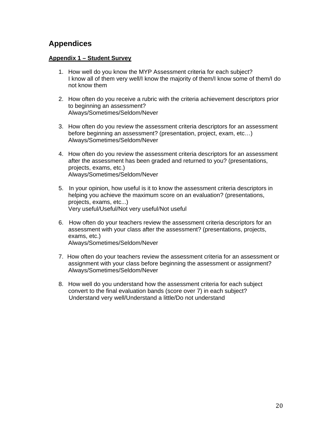# **Appendices**

## **Appendix 1 – Student Survey**

- 1. How well do you know the MYP Assessment criteria for each subject? I know all of them very well/I know the majority of them/I know some of them/I do not know them
- 2. How often do you receive a rubric with the criteria achievement descriptors prior to beginning an assessment? Always/Sometimes/Seldom/Never
- 3. How often do you review the assessment criteria descriptors for an assessment before beginning an assessment? (presentation, project, exam, etc…) Always/Sometimes/Seldom/Never
- 4. How often do you review the assessment criteria descriptors for an assessment after the assessment has been graded and returned to you? (presentations, projects, exams, etc.) Always/Sometimes/Seldom/Never
- 5. In your opinion, how useful is it to know the assessment criteria descriptors in helping you achieve the maximum score on an evaluation? (presentations, projects, exams, etc...) Very useful/Useful/Not very useful/Not useful
- 6. How often do your teachers review the assessment criteria descriptors for an assessment with your class after the assessment? (presentations, projects, exams, etc.) Always/Sometimes/Seldom/Never
- 7. How often do your teachers review the assessment criteria for an assessment or assignment with your class before beginning the assessment or assignment? Always/Sometimes/Seldom/Never
- 8. How well do you understand how the assessment criteria for each subject convert to the final evaluation bands (score over 7) in each subject? Understand very well/Understand a little/Do not understand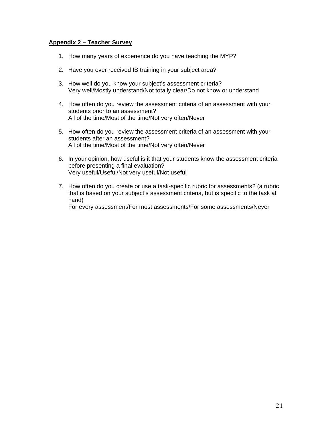#### **Appendix 2 – Teacher Survey**

- 1. How many years of experience do you have teaching the MYP?
- 2. Have you ever received IB training in your subject area?
- 3. How well do you know your subject's assessment criteria? Very well/Mostly understand/Not totally clear/Do not know or understand
- 4. How often do you review the assessment criteria of an assessment with your students prior to an assessment? All of the time/Most of the time/Not very often/Never
- 5. How often do you review the assessment criteria of an assessment with your students after an assessment? All of the time/Most of the time/Not very often/Never
- 6. In your opinion, how useful is it that your students know the assessment criteria before presenting a final evaluation? Very useful/Useful/Not very useful/Not useful
- 7. How often do you create or use a task-specific rubric for assessments? (a rubric that is based on your subject's assessment criteria, but is specific to the task at hand) For every assessment/For most assessments/For some assessments/Never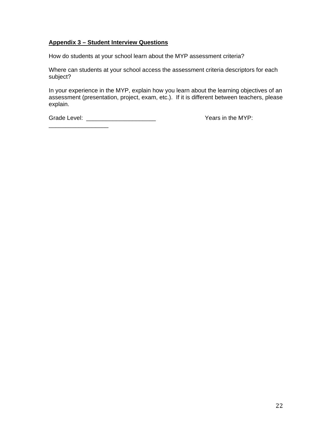## **Appendix 3 – Student Interview Questions**

How do students at your school learn about the MYP assessment criteria?

Where can students at your school access the assessment criteria descriptors for each subject?

In your experience in the MYP, explain how you learn about the learning objectives of an assessment (presentation, project, exam, etc.). If it is different between teachers, please explain.

Grade Level: \_\_\_\_\_\_\_\_\_\_\_\_\_\_\_\_\_\_\_\_\_ Years in the MYP: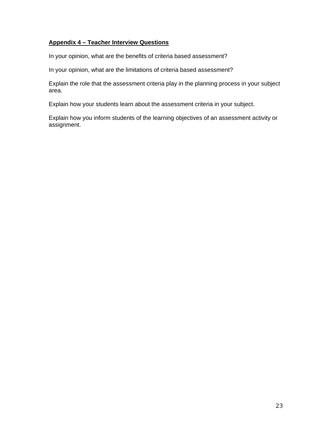## **Appendix 4 – Teacher Interview Questions**

In your opinion, what are the benefits of criteria based assessment?

In your opinion, what are the limitations of criteria based assessment?

Explain the role that the assessment criteria play in the planning process in your subject area.

Explain how your students learn about the assessment criteria in your subject.

Explain how you inform students of the learning objectives of an assessment activity or assignment.